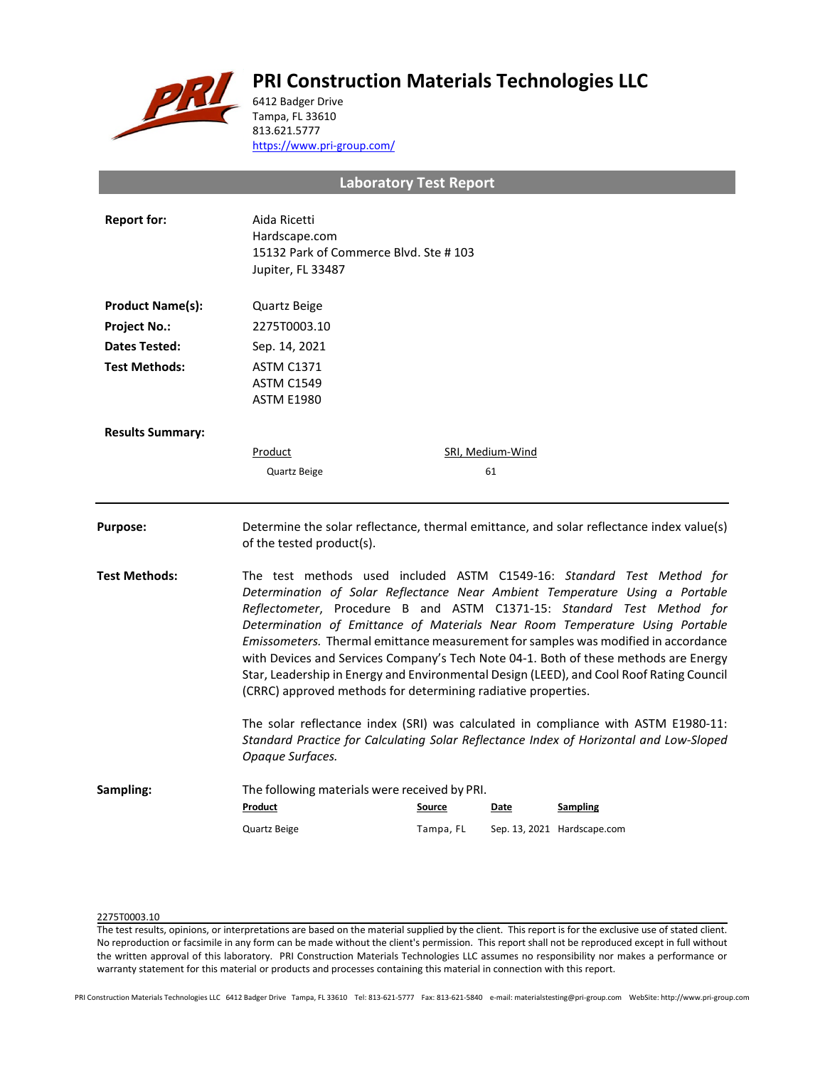# **PRI Construction Materials Technologies LLC**



6412 Badger Drive Tampa, FL 33610 813.621.5777 <https://www.pri-group.com/>

**Laboratory Test Report**

| <b>Report for:</b>      | Aida Ricetti<br>Hardscape.com<br>15132 Park of Commerce Blvd. Ste #103<br>Jupiter, FL 33487                                                                                                                                                                                                                                                                                                                                                                                                                                                                                                                                                                 |           |                         |                                                                                          |  |
|-------------------------|-------------------------------------------------------------------------------------------------------------------------------------------------------------------------------------------------------------------------------------------------------------------------------------------------------------------------------------------------------------------------------------------------------------------------------------------------------------------------------------------------------------------------------------------------------------------------------------------------------------------------------------------------------------|-----------|-------------------------|------------------------------------------------------------------------------------------|--|
| <b>Product Name(s):</b> | Quartz Beige                                                                                                                                                                                                                                                                                                                                                                                                                                                                                                                                                                                                                                                |           |                         |                                                                                          |  |
| <b>Project No.:</b>     | 2275T0003.10                                                                                                                                                                                                                                                                                                                                                                                                                                                                                                                                                                                                                                                |           |                         |                                                                                          |  |
| <b>Dates Tested:</b>    | Sep. 14, 2021                                                                                                                                                                                                                                                                                                                                                                                                                                                                                                                                                                                                                                               |           |                         |                                                                                          |  |
| <b>Test Methods:</b>    | <b>ASTM C1371</b><br><b>ASTM C1549</b><br><b>ASTM E1980</b>                                                                                                                                                                                                                                                                                                                                                                                                                                                                                                                                                                                                 |           |                         |                                                                                          |  |
| <b>Results Summary:</b> |                                                                                                                                                                                                                                                                                                                                                                                                                                                                                                                                                                                                                                                             |           |                         |                                                                                          |  |
|                         | <b>Product</b>                                                                                                                                                                                                                                                                                                                                                                                                                                                                                                                                                                                                                                              |           | <b>SRI, Medium-Wind</b> |                                                                                          |  |
|                         | Quartz Beige                                                                                                                                                                                                                                                                                                                                                                                                                                                                                                                                                                                                                                                |           | 61                      |                                                                                          |  |
| <b>Purpose:</b>         | of the tested product(s).                                                                                                                                                                                                                                                                                                                                                                                                                                                                                                                                                                                                                                   |           |                         | Determine the solar reflectance, thermal emittance, and solar reflectance index value(s) |  |
| <b>Test Methods:</b>    | The test methods used included ASTM C1549-16: Standard Test Method for<br>Determination of Solar Reflectance Near Ambient Temperature Using a Portable<br>Reflectometer, Procedure B and ASTM C1371-15: Standard Test Method for<br>Determination of Emittance of Materials Near Room Temperature Using Portable<br>Emissometers. Thermal emittance measurement for samples was modified in accordance<br>with Devices and Services Company's Tech Note 04-1. Both of these methods are Energy<br>Star, Leadership in Energy and Environmental Design (LEED), and Cool Roof Rating Council<br>(CRRC) approved methods for determining radiative properties. |           |                         |                                                                                          |  |
|                         | The solar reflectance index (SRI) was calculated in compliance with ASTM E1980-11:<br>Standard Practice for Calculating Solar Reflectance Index of Horizontal and Low-Sloped<br>Opaque Surfaces.                                                                                                                                                                                                                                                                                                                                                                                                                                                            |           |                         |                                                                                          |  |
| Sampling:               | The following materials were received by PRI.<br>Product                                                                                                                                                                                                                                                                                                                                                                                                                                                                                                                                                                                                    | Source    | Date                    | <b>Sampling</b>                                                                          |  |
|                         | Quartz Beige                                                                                                                                                                                                                                                                                                                                                                                                                                                                                                                                                                                                                                                | Tampa, FL |                         | Sep. 13, 2021 Hardscape.com                                                              |  |

## 2275T0003.10

The test results, opinions, or interpretations are based on the material supplied by the client. This report is for the exclusive use of stated client. No reproduction or facsimile in any form can be made without the client's permission. This report shall not be reproduced except in full without the written approval of this laboratory. PRI Construction Materials Technologies LLC assumes no responsibility nor makes a performance or warranty statement for this material or products and processes containing this material in connection with this report.

PRI Construction Materials Technologies LLC 6412 Badger Drive Tampa, FL 33610 Tel: 813-621-5777 Fax: 813-621-5840 e-mail: materialstesting@pri-group.com WebSite: http://www.pri-group.com